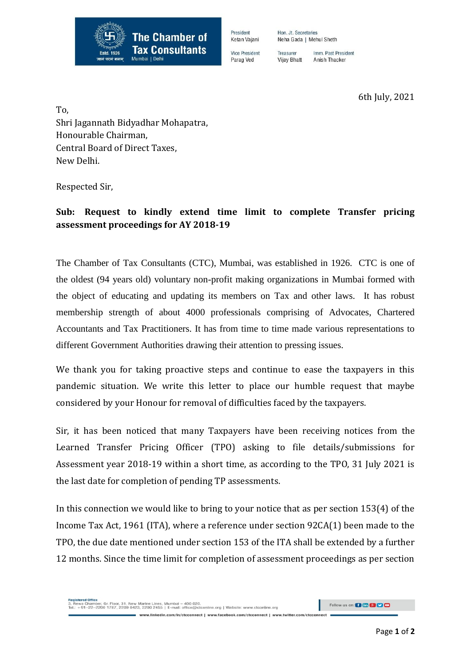

President Ketan Vajani

**Vice President** Parag Ved

Neha Gada | Mehul Sheth Imm. Past President Treasurer

Hon, Jt. Secretaries

Anish Thacker **Vijay Bhatt** 

6th July, 2021

To,

Shri Jagannath Bidyadhar Mohapatra, Honourable Chairman, Central Board of Direct Taxes, New Delhi.

Respected Sir,

## **Sub: Request to kindly extend time limit to complete Transfer pricing assessment proceedings for AY 2018-19**

The Chamber of Tax Consultants (CTC), Mumbai, was established in 1926. CTC is one of the oldest (94 years old) voluntary non-profit making organizations in Mumbai formed with the object of educating and updating its members on Tax and other laws. It has robust membership strength of about 4000 professionals comprising of Advocates, Chartered Accountants and Tax Practitioners. It has from time to time made various representations to different Government Authorities drawing their attention to pressing issues.

We thank you for taking proactive steps and continue to ease the taxpayers in this pandemic situation. We write this letter to place our humble request that maybe considered by your Honour for removal of difficulties faced by the taxpayers.

Sir, it has been noticed that many Taxpayers have been receiving notices from the Learned Transfer Pricing Officer (TPO) asking to file details/submissions for Assessment year 2018-19 within a short time, as according to the TPO, 31 July 2021 is the last date for completion of pending TP assessments.

In this connection we would like to bring to your notice that as per section 153(4) of the Income Tax Act, 1961 (ITA), where a reference under section 92CA(1) been made to the TPO, the due date mentioned under section 153 of the ITA shall be extended by a further 12 months. Since the time limit for completion of assessment proceedings as per section